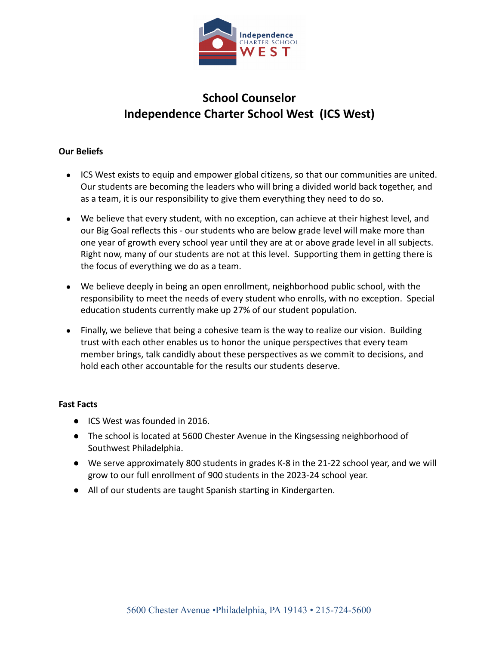

# **School Counselor Independence Charter School West (ICS West)**

## **Our Beliefs**

- ICS West exists to equip and empower global citizens, so that our communities are united. Our students are becoming the leaders who will bring a divided world back together, and as a team, it is our responsibility to give them everything they need to do so.
- We believe that every student, with no exception, can achieve at their highest level, and our Big Goal reflects this - our students who are below grade level will make more than one year of growth every school year until they are at or above grade level in all subjects. Right now, many of our students are not at this level. Supporting them in getting there is the focus of everything we do as a team.
- We believe deeply in being an open enrollment, neighborhood public school, with the responsibility to meet the needs of every student who enrolls, with no exception. Special education students currently make up 27% of our student population.
- Finally, we believe that being a cohesive team is the way to realize our vision. Building trust with each other enables us to honor the unique perspectives that every team member brings, talk candidly about these perspectives as we commit to decisions, and hold each other accountable for the results our students deserve.

### **Fast Facts**

- ICS West was founded in 2016.
- The school is located at 5600 Chester Avenue in the Kingsessing neighborhood of Southwest Philadelphia.
- We serve approximately 800 students in grades K-8 in the 21-22 school year, and we will grow to our full enrollment of 900 students in the 2023-24 school year.
- All of our students are taught Spanish starting in Kindergarten.